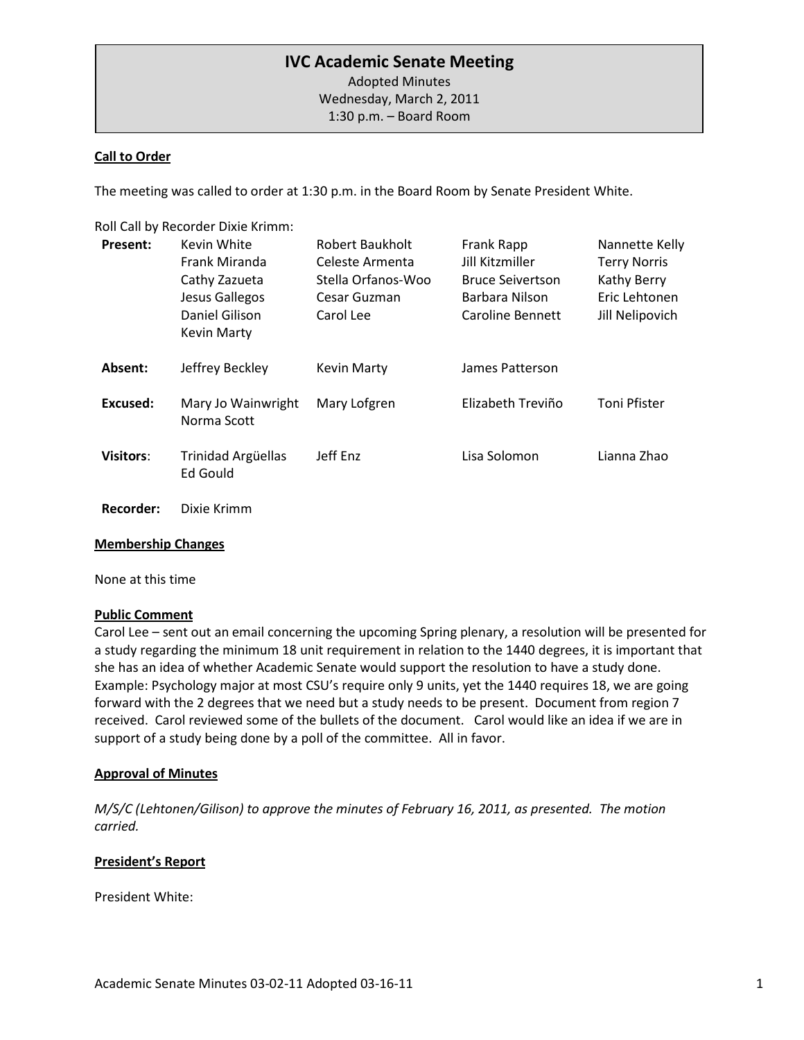# **IVC Academic Senate Meeting**

Adopted Minutes Wednesday, March 2, 2011 1:30 p.m. – Board Room

#### **Call to Order**

The meeting was called to order at 1:30 p.m. in the Board Room by Senate President White.

Roll Call by Recorder Dixie Krimm:

| <b>Present:</b>  | Kevin White<br>Frank Miranda<br>Cathy Zazueta<br>Jesus Gallegos<br>Daniel Gilison<br>Kevin Marty | Robert Baukholt<br>Celeste Armenta<br>Stella Orfanos-Woo<br>Cesar Guzman<br>Carol Lee | Frank Rapp<br>Jill Kitzmiller<br><b>Bruce Seivertson</b><br>Barbara Nilson<br>Caroline Bennett | Nannette Kelly<br><b>Terry Norris</b><br>Kathy Berry<br>Eric Lehtonen<br>Jill Nelipovich |
|------------------|--------------------------------------------------------------------------------------------------|---------------------------------------------------------------------------------------|------------------------------------------------------------------------------------------------|------------------------------------------------------------------------------------------|
| Absent:          | Jeffrey Beckley                                                                                  | <b>Kevin Marty</b>                                                                    | James Patterson                                                                                |                                                                                          |
| Excused:         | Mary Jo Wainwright<br>Norma Scott                                                                | Mary Lofgren                                                                          | Elizabeth Treviño                                                                              | <b>Toni Pfister</b>                                                                      |
| <b>Visitors:</b> | Trinidad Argüellas<br>Ed Gould                                                                   | Jeff Enz                                                                              | Lisa Solomon                                                                                   | Lianna Zhao                                                                              |

# **Recorder:** Dixie Krimm

#### **Membership Changes**

None at this time

#### **Public Comment**

Carol Lee – sent out an email concerning the upcoming Spring plenary, a resolution will be presented for a study regarding the minimum 18 unit requirement in relation to the 1440 degrees, it is important that she has an idea of whether Academic Senate would support the resolution to have a study done. Example: Psychology major at most CSU's require only 9 units, yet the 1440 requires 18, we are going forward with the 2 degrees that we need but a study needs to be present. Document from region 7 received. Carol reviewed some of the bullets of the document. Carol would like an idea if we are in support of a study being done by a poll of the committee. All in favor.

#### **Approval of Minutes**

*M/S/C (Lehtonen/Gilison) to approve the minutes of February 16, 2011, as presented. The motion carried.*

### **President's Report**

President White: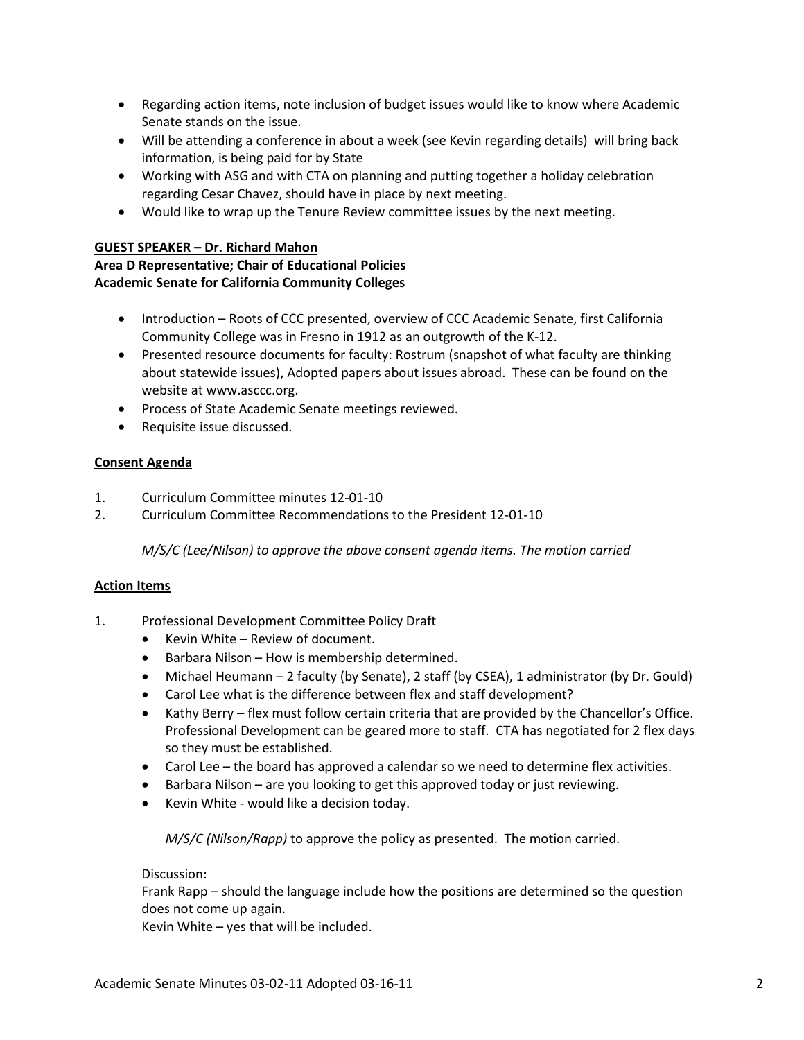- Regarding action items, note inclusion of budget issues would like to know where Academic Senate stands on the issue.
- Will be attending a conference in about a week (see Kevin regarding details) will bring back information, is being paid for by State
- Working with ASG and with CTA on planning and putting together a holiday celebration regarding Cesar Chavez, should have in place by next meeting.
- Would like to wrap up the Tenure Review committee issues by the next meeting.

#### **GUEST SPEAKER – Dr. Richard Mahon**

## **Area D Representative; Chair of Educational Policies Academic Senate for California Community Colleges**

- Introduction Roots of CCC presented, overview of CCC Academic Senate, first California Community College was in Fresno in 1912 as an outgrowth of the K-12.
- Presented resource documents for faculty: Rostrum (snapshot of what faculty are thinking about statewide issues), Adopted papers about issues abroad. These can be found on the website at www.asccc.org.
- Process of State Academic Senate meetings reviewed.
- Requisite issue discussed.

### **Consent Agenda**

- 1. Curriculum Committee minutes 12-01-10
- 2. Curriculum Committee Recommendations to the President 12-01-10

*M/S/C (Lee/Nilson) to approve the above consent agenda items. The motion carried*

### **Action Items**

- 1. Professional Development Committee Policy Draft
	- Kevin White Review of document.
	- Barbara Nilson How is membership determined.
	- Michael Heumann 2 faculty (by Senate), 2 staff (by CSEA), 1 administrator (by Dr. Gould)
	- Carol Lee what is the difference between flex and staff development?
	- Kathy Berry flex must follow certain criteria that are provided by the Chancellor's Office. Professional Development can be geared more to staff. CTA has negotiated for 2 flex days so they must be established.
	- Carol Lee the board has approved a calendar so we need to determine flex activities.
	- Barbara Nilson are you looking to get this approved today or just reviewing.
	- Kevin White would like a decision today.

*M/S/C (Nilson/Rapp)* to approve the policy as presented. The motion carried.

### Discussion:

Frank Rapp – should the language include how the positions are determined so the question does not come up again.

Kevin White – yes that will be included.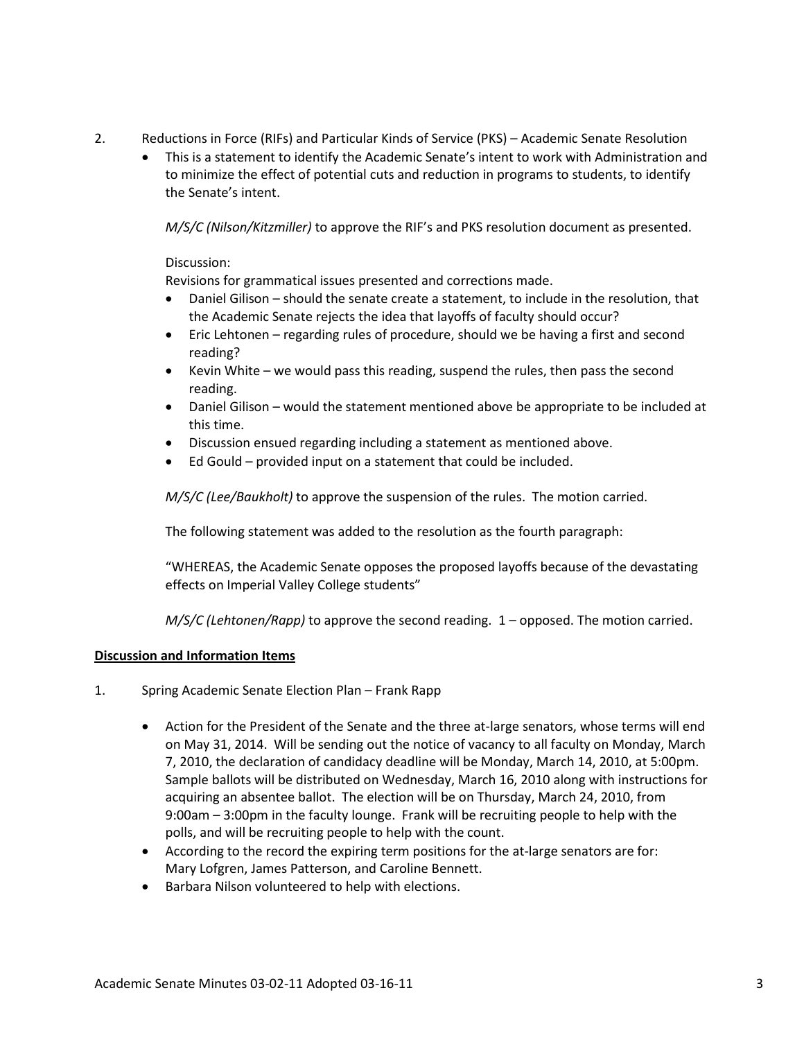- 2. Reductions in Force (RIFs) and Particular Kinds of Service (PKS) Academic Senate Resolution
	- This is a statement to identify the Academic Senate's intent to work with Administration and to minimize the effect of potential cuts and reduction in programs to students, to identify the Senate's intent.

*M/S/C (Nilson/Kitzmiller)* to approve the RIF's and PKS resolution document as presented.

### Discussion:

Revisions for grammatical issues presented and corrections made.

- Daniel Gilison should the senate create a statement, to include in the resolution, that the Academic Senate rejects the idea that layoffs of faculty should occur?
- Eric Lehtonen regarding rules of procedure, should we be having a first and second reading?
- Kevin White we would pass this reading, suspend the rules, then pass the second reading.
- Daniel Gilison would the statement mentioned above be appropriate to be included at this time.
- Discussion ensued regarding including a statement as mentioned above.
- Ed Gould provided input on a statement that could be included.

*M/S/C (Lee/Baukholt)* to approve the suspension of the rules. The motion carried.

The following statement was added to the resolution as the fourth paragraph:

"WHEREAS, the Academic Senate opposes the proposed layoffs because of the devastating effects on Imperial Valley College students"

*M/S/C (Lehtonen/Rapp)* to approve the second reading. 1 – opposed. The motion carried.

### **Discussion and Information Items**

- 1. Spring Academic Senate Election Plan Frank Rapp
	- Action for the President of the Senate and the three at-large senators, whose terms will end on May 31, 2014. Will be sending out the notice of vacancy to all faculty on Monday, March 7, 2010, the declaration of candidacy deadline will be Monday, March 14, 2010, at 5:00pm. Sample ballots will be distributed on Wednesday, March 16, 2010 along with instructions for acquiring an absentee ballot. The election will be on Thursday, March 24, 2010, from 9:00am – 3:00pm in the faculty lounge. Frank will be recruiting people to help with the polls, and will be recruiting people to help with the count.
	- According to the record the expiring term positions for the at-large senators are for: Mary Lofgren, James Patterson, and Caroline Bennett.
	- Barbara Nilson volunteered to help with elections.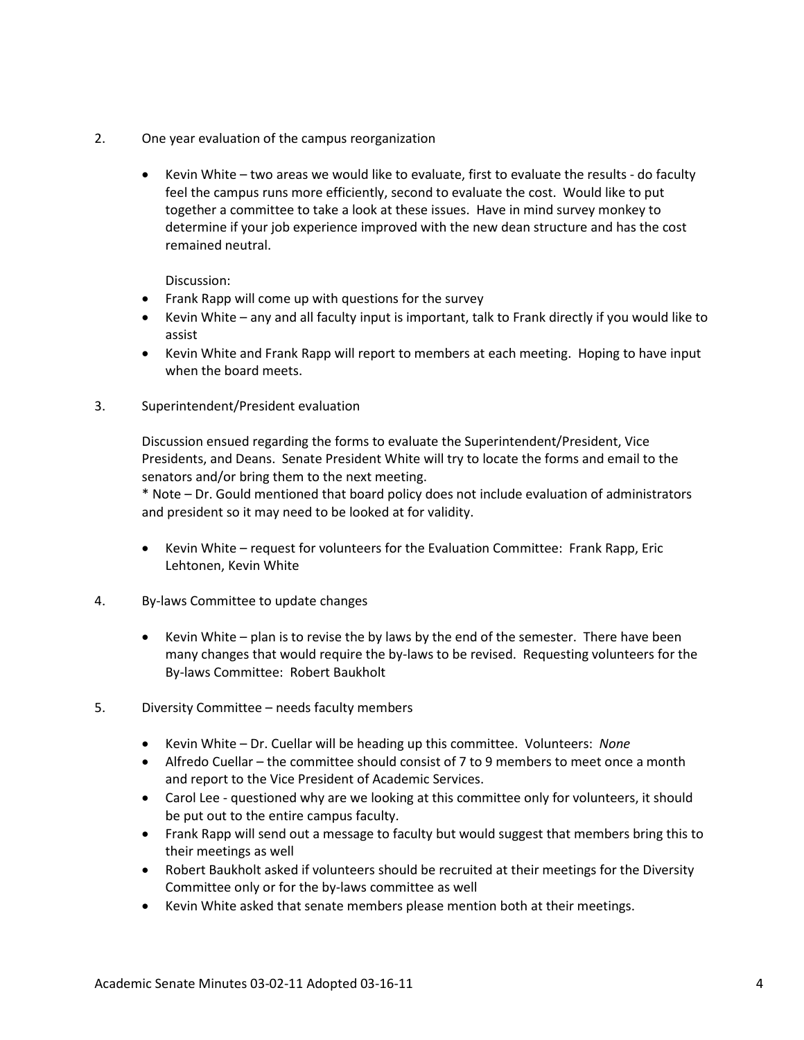- 2. One year evaluation of the campus reorganization
	- Kevin White two areas we would like to evaluate, first to evaluate the results do faculty feel the campus runs more efficiently, second to evaluate the cost. Would like to put together a committee to take a look at these issues. Have in mind survey monkey to determine if your job experience improved with the new dean structure and has the cost remained neutral.

Discussion:

- Frank Rapp will come up with questions for the survey
- Kevin White any and all faculty input is important, talk to Frank directly if you would like to assist
- Kevin White and Frank Rapp will report to members at each meeting. Hoping to have input when the board meets.
- 3. Superintendent/President evaluation

Discussion ensued regarding the forms to evaluate the Superintendent/President, Vice Presidents, and Deans. Senate President White will try to locate the forms and email to the senators and/or bring them to the next meeting.

\* Note – Dr. Gould mentioned that board policy does not include evaluation of administrators and president so it may need to be looked at for validity.

- Kevin White request for volunteers for the Evaluation Committee: Frank Rapp, Eric Lehtonen, Kevin White
- 4. By-laws Committee to update changes
	- Kevin White plan is to revise the by laws by the end of the semester. There have been many changes that would require the by-laws to be revised. Requesting volunteers for the By-laws Committee: Robert Baukholt
- 5. Diversity Committee needs faculty members
	- Kevin White Dr. Cuellar will be heading up this committee. Volunteers: *None*
	- Alfredo Cuellar the committee should consist of 7 to 9 members to meet once a month and report to the Vice President of Academic Services.
	- Carol Lee questioned why are we looking at this committee only for volunteers, it should be put out to the entire campus faculty.
	- Frank Rapp will send out a message to faculty but would suggest that members bring this to their meetings as well
	- Robert Baukholt asked if volunteers should be recruited at their meetings for the Diversity Committee only or for the by-laws committee as well
	- Kevin White asked that senate members please mention both at their meetings.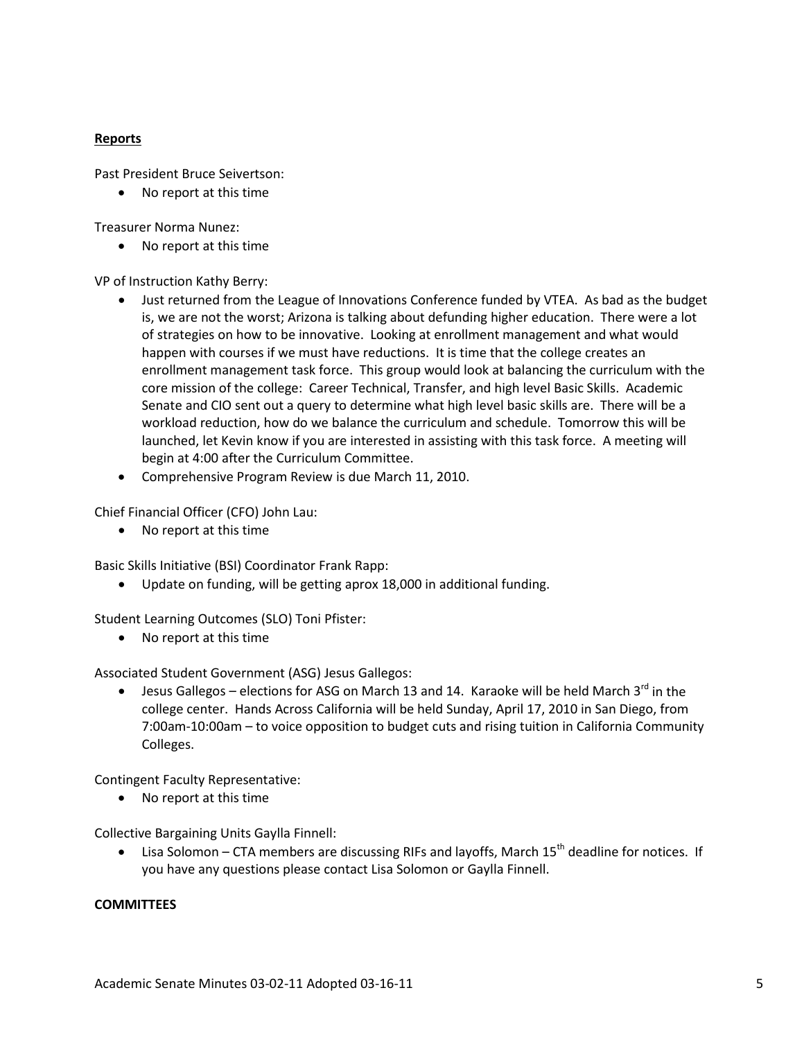## **Reports**

Past President Bruce Seivertson:

• No report at this time

Treasurer Norma Nunez:

• No report at this time

VP of Instruction Kathy Berry:

- Just returned from the League of Innovations Conference funded by VTEA. As bad as the budget is, we are not the worst; Arizona is talking about defunding higher education. There were a lot of strategies on how to be innovative. Looking at enrollment management and what would happen with courses if we must have reductions. It is time that the college creates an enrollment management task force. This group would look at balancing the curriculum with the core mission of the college: Career Technical, Transfer, and high level Basic Skills. Academic Senate and CIO sent out a query to determine what high level basic skills are. There will be a workload reduction, how do we balance the curriculum and schedule. Tomorrow this will be launched, let Kevin know if you are interested in assisting with this task force. A meeting will begin at 4:00 after the Curriculum Committee.
- Comprehensive Program Review is due March 11, 2010.

Chief Financial Officer (CFO) John Lau:

• No report at this time

Basic Skills Initiative (BSI) Coordinator Frank Rapp:

• Update on funding, will be getting aprox 18,000 in additional funding.

Student Learning Outcomes (SLO) Toni Pfister:

• No report at this time

Associated Student Government (ASG) Jesus Gallegos:

• Jesus Gallegos – elections for ASG on March 13 and 14. Karaoke will be held March  $3^{rd}$  in the college center. Hands Across California will be held Sunday, April 17, 2010 in San Diego, from 7:00am-10:00am – to voice opposition to budget cuts and rising tuition in California Community Colleges.

Contingent Faculty Representative:

• No report at this time

Collective Bargaining Units Gaylla Finnell:

Lisa Solomon – CTA members are discussing RIFs and layoffs, March  $15<sup>th</sup>$  deadline for notices. If you have any questions please contact Lisa Solomon or Gaylla Finnell.

### **COMMITTEES**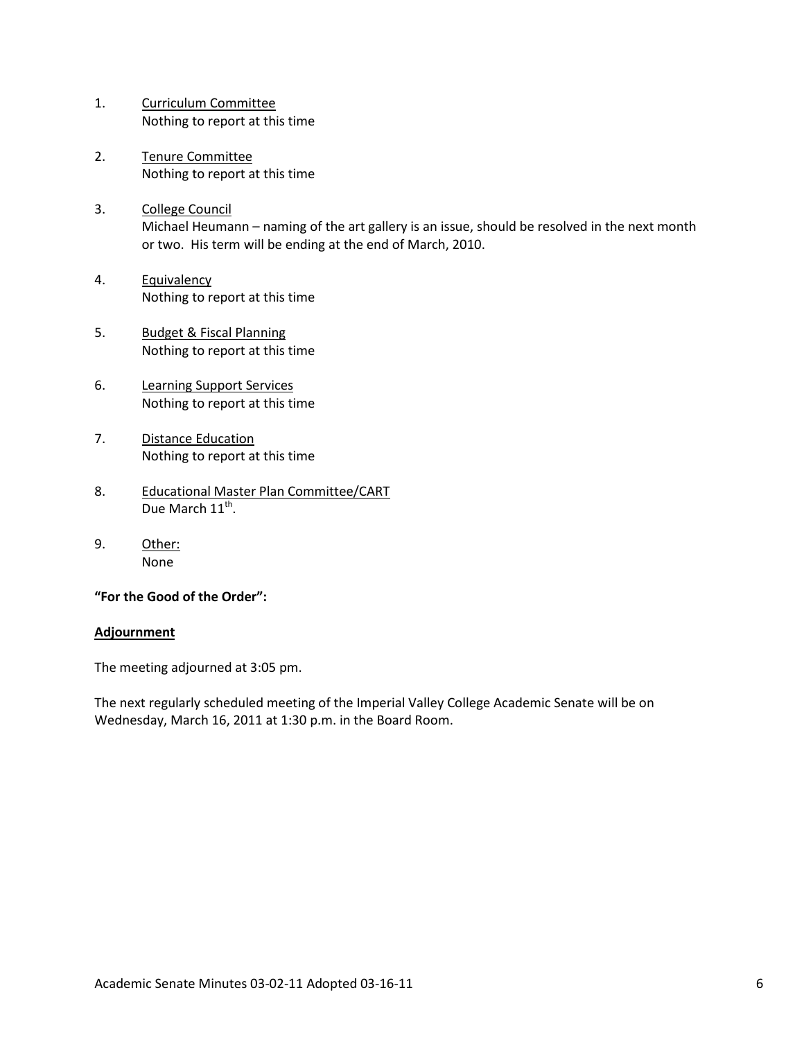- 1. Curriculum Committee Nothing to report at this time
- 2. Tenure Committee Nothing to report at this time
- 3. College Council Michael Heumann – naming of the art gallery is an issue, should be resolved in the next month or two. His term will be ending at the end of March, 2010.
- 4. Equivalency Nothing to report at this time
- 5. Budget & Fiscal Planning Nothing to report at this time
- 6. Learning Support Services Nothing to report at this time
- 7. Distance Education Nothing to report at this time
- 8. Educational Master Plan Committee/CART Due March 11<sup>th</sup>.
- 9. Other: None

### **"For the Good of the Order":**

### **Adjournment**

The meeting adjourned at 3:05 pm.

The next regularly scheduled meeting of the Imperial Valley College Academic Senate will be on Wednesday, March 16, 2011 at 1:30 p.m. in the Board Room.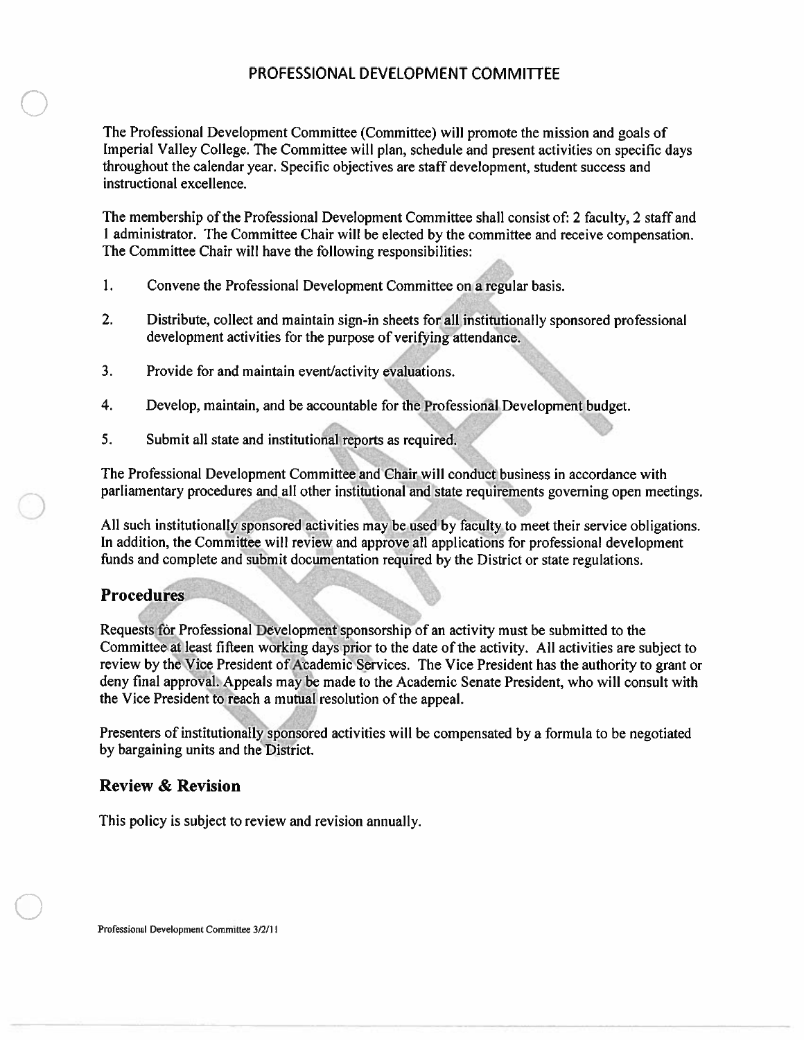## PROFESSIONAL DEVELOPMENT COMMITTEE

The Professional Development Committee (Committee) will promote the mission and goals of Imperial Valley College. The Committee will plan, schedule and present activities on specific days throughout the calendar year. Specific objectives are staff development, student success and instructional excellence.

The membership of the Professional Development Committee shall consist of: 2 faculty, 2 staff and 1 administrator. The Committee Chair will be elected by the committee and receive compensation. The Committee Chair will have the following responsibilities:

- 1. Convene the Professional Development Committee on a regular basis.
- $2.$ Distribute, collect and maintain sign-in sheets for all institutionally sponsored professional development activities for the purpose of verifying attendance.
- $3<sub>1</sub>$ Provide for and maintain event/activity evaluations.
- $4.$ Develop, maintain, and be accountable for the Professional Development budget.
- 5. Submit all state and institutional reports as required.

The Professional Development Committee and Chair will conduct business in accordance with parliamentary procedures and all other institutional and state requirements governing open meetings.

All such institutionally sponsored activities may be used by faculty to meet their service obligations. In addition, the Committee will review and approve all applications for professional development funds and complete and submit documentation required by the District or state regulations.

# **Procedures**

Requests for Professional Development sponsorship of an activity must be submitted to the Committee at least fifteen working days prior to the date of the activity. All activities are subject to review by the Vice President of Academic Services. The Vice President has the authority to grant or deny final approval. Appeals may be made to the Academic Senate President, who will consult with the Vice President to reach a mutual resolution of the appeal.

Presenters of institutionally sponsored activities will be compensated by a formula to be negotiated by bargaining units and the District.

# **Review & Revision**

This policy is subject to review and revision annually.

Professional Development Committee 3/2/11